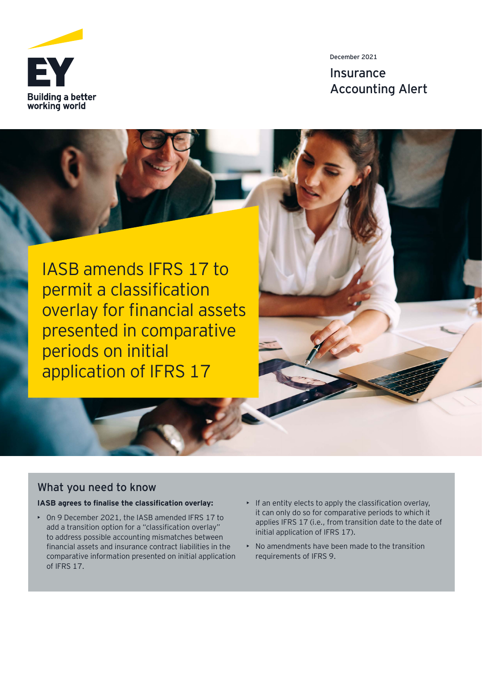

December 2021

**Insurance** Accounting Alert

IASB amends IFRS 17 to permit a classification overlay for financial assets presented in comparative periods on initial application of IFRS 17

# What you need to know

#### **IASB agrees to finalise the classification overlay:**

- 0n 9 December 2021, the IASB amended IFRS 17 to add a transition option for a "classification overlay" to address possible accounting mismatches between financial assets and insurance contract liabilities in the comparative information presented on initial application of IFRS 17.
- $\cdot$  If an entity elects to apply the classification overlay, it can only do so for comparative periods to which it applies IFRS 17 (i.e., from transition date to the date of initial application of IFRS 17).
- No amendments have been made to the transition requirements of IFRS 9.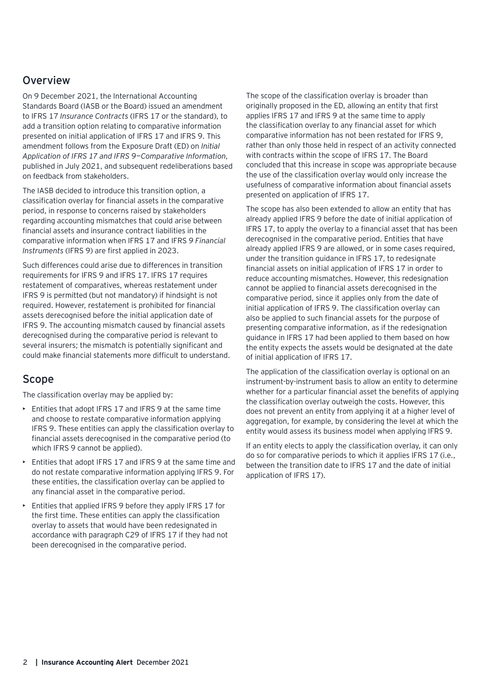### **Overview**

On 9 December 2021, the International Accounting Standards Board (IASB or the Board) issued an amendment to IFRS 17 *Insurance Contracts* (IFRS 17 or the standard), to add a transition option relating to comparative information presented on initial application of IFRS 17 and IFRS 9. This amendment follows from the Exposure Draft (ED) on *Initial Application of IFRS 17 and IFRS 9—Comparative Information*, published in July 2021, and subsequent redeliberations based on feedback from stakeholders.

The IASB decided to introduce this transition option, a classification overlay for financial assets in the comparative period, in response to concerns raised by stakeholders regarding accounting mismatches that could arise between financial assets and insurance contract liabilities in the comparative information when IFRS 17 and IFRS *9 Financial Instruments* (IFRS 9) are first applied in 2023.

Such differences could arise due to differences in transition requirements for IFRS 9 and IFRS 17. IFRS 17 requires restatement of comparatives, whereas restatement under IFRS 9 is permitted (but not mandatory) if hindsight is not required. However, restatement is prohibited for financial assets derecognised before the initial application date of IFRS 9. The accounting mismatch caused by financial assets derecognised during the comparative period is relevant to several insurers; the mismatch is potentially significant and could make financial statements more difficult to understand.

#### Scope

The classification overlay may be applied by:

- Entities that adopt IFRS 17 and IFRS 9 at the same time and choose to restate comparative information applying IFRS 9. These entities can apply the classification overlay to financial assets derecognised in the comparative period (to which IFRS 9 cannot be applied).
- Entities that adopt IFRS 17 and IFRS 9 at the same time and do not restate comparative information applying IFRS 9. For these entities, the classification overlay can be applied to any financial asset in the comparative period.
- Entities that applied IFRS 9 before they apply IFRS 17 for the first time. These entities can apply the classification overlay to assets that would have been redesignated in accordance with paragraph C29 of IFRS 17 if they had not been derecognised in the comparative period.

The scope of the classification overlay is broader than originally proposed in the ED, allowing an entity that first applies IFRS 17 and IFRS 9 at the same time to apply the classification overlay to any financial asset for which comparative information has not been restated for IFRS 9, rather than only those held in respect of an activity connected with contracts within the scope of IFRS 17. The Board concluded that this increase in scope was appropriate because the use of the classification overlay would only increase the usefulness of comparative information about financial assets presented on application of IFRS 17.

The scope has also been extended to allow an entity that has already applied IFRS 9 before the date of initial application of IFRS 17, to apply the overlay to a financial asset that has been derecognised in the comparative period. Entities that have already applied IFRS 9 are allowed, or in some cases required, under the transition guidance in IFRS 17, to redesignate financial assets on initial application of IFRS 17 in order to reduce accounting mismatches. However, this redesignation cannot be applied to financial assets derecognised in the comparative period, since it applies only from the date of initial application of IFRS 9. The classification overlay can also be applied to such financial assets for the purpose of presenting comparative information, as if the redesignation guidance in IFRS 17 had been applied to them based on how the entity expects the assets would be designated at the date of initial application of IFRS 17.

The application of the classification overlay is optional on an instrument-by-instrument basis to allow an entity to determine whether for a particular financial asset the benefits of applying the classification overlay outweigh the costs. However, this does not prevent an entity from applying it at a higher level of aggregation, for example, by considering the level at which the entity would assess its business model when applying IFRS 9.

If an entity elects to apply the classification overlay, it can only do so for comparative periods to which it applies IFRS 17 (i.e., between the transition date to IFRS 17 and the date of initial application of IFRS 17).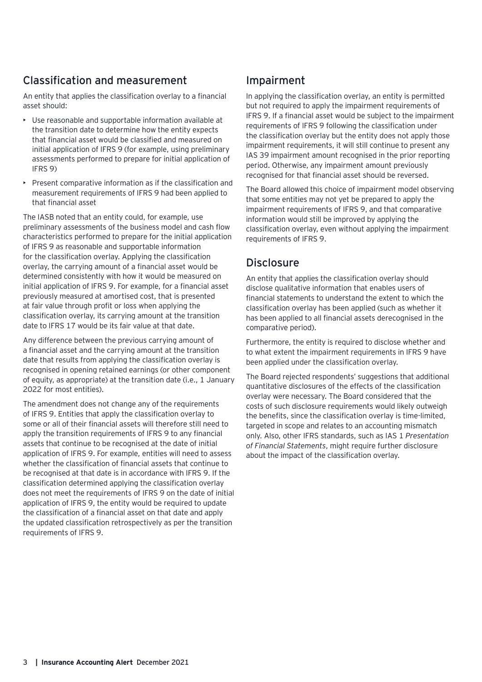# Classification and measurement

An entity that applies the classification overlay to a financial asset should:

- Use reasonable and supportable information available at the transition date to determine how the entity expects that financial asset would be classified and measured on initial application of IFRS 9 (for example, using preliminary assessments performed to prepare for initial application of IFRS 9)
- Present comparative information as if the classification and measurement requirements of IFRS 9 had been applied to that financial asset

The IASB noted that an entity could, for example, use preliminary assessments of the business model and cash flow characteristics performed to prepare for the initial application of IFRS 9 as reasonable and supportable information for the classification overlay. Applying the classification overlay, the carrying amount of a financial asset would be determined consistently with how it would be measured on initial application of IFRS 9. For example, for a financial asset previously measured at amortised cost, that is presented at fair value through profit or loss when applying the classification overlay, its carrying amount at the transition date to IFRS 17 would be its fair value at that date.

Any difference between the previous carrying amount of a financial asset and the carrying amount at the transition date that results from applying the classification overlay is recognised in opening retained earnings (or other component of equity, as appropriate) at the transition date (i.e., 1 January 2022 for most entities).

The amendment does not change any of the requirements of IFRS 9. Entities that apply the classification overlay to some or all of their financial assets will therefore still need to apply the transition requirements of IFRS 9 to any financial assets that continue to be recognised at the date of initial application of IFRS 9. For example, entities will need to assess whether the classification of financial assets that continue to be recognised at that date is in accordance with IFRS 9. If the classification determined applying the classification overlay does not meet the requirements of IFRS 9 on the date of initial application of IFRS 9, the entity would be required to update the classification of a financial asset on that date and apply the updated classification retrospectively as per the transition requirements of IFRS 9.

# Impairment

In applying the classification overlay, an entity is permitted but not required to apply the impairment requirements of IFRS 9. If a financial asset would be subject to the impairment requirements of IFRS 9 following the classification under the classification overlay but the entity does not apply those impairment requirements, it will still continue to present any IAS 39 impairment amount recognised in the prior reporting period. Otherwise, any impairment amount previously recognised for that financial asset should be reversed.

The Board allowed this choice of impairment model observing that some entities may not yet be prepared to apply the impairment requirements of IFRS 9, and that comparative information would still be improved by applying the classification overlay, even without applying the impairment requirements of IFRS 9.

### **Disclosure**

An entity that applies the classification overlay should disclose qualitative information that enables users of financial statements to understand the extent to which the classification overlay has been applied (such as whether it has been applied to all financial assets derecognised in the comparative period).

Furthermore, the entity is required to disclose whether and to what extent the impairment requirements in IFRS 9 have been applied under the classification overlay.

The Board rejected respondents' suggestions that additional quantitative disclosures of the effects of the classification overlay were necessary. The Board considered that the costs of such disclosure requirements would likely outweigh the benefits, since the classification overlay is time-limited, targeted in scope and relates to an accounting mismatch only. Also, other IFRS standards, such as IAS 1 *Presentation of Financial Statements*, might require further disclosure about the impact of the classification overlay.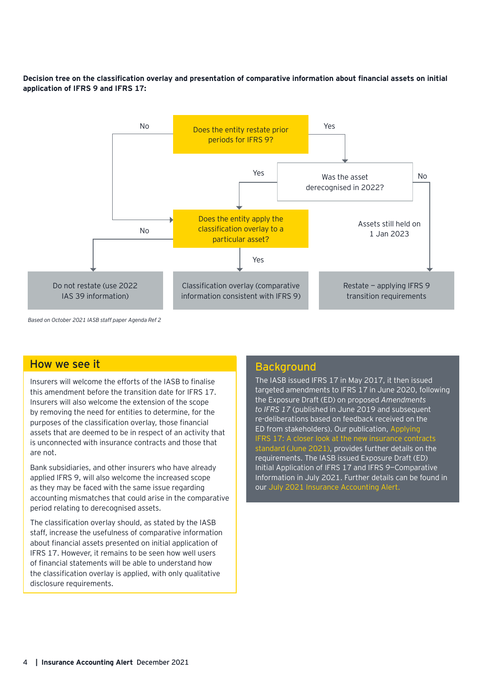#### **Decision tree on the classification overlay and presentation of comparative information about financial assets on initial application of IFRS 9 and IFRS 17:**



*Based on October 2021 IASB staff paper Agenda Ref 2*

#### How we see it

Insurers will welcome the efforts of the IASB to finalise this amendment before the transition date for IFRS 17. Insurers will also welcome the extension of the scope by removing the need for entities to determine, for the purposes of the classification overlay, those financial assets that are deemed to be in respect of an activity that is unconnected with insurance contracts and those that are not.

Bank subsidiaries, and other insurers who have already applied IFRS 9, will also welcome the increased scope as they may be faced with the same issue regarding accounting mismatches that could arise in the comparative period relating to derecognised assets.

The classification overlay should, as stated by the IASB staff, increase the usefulness of comparative information about financial assets presented on initial application of IFRS 17. However, it remains to be seen how well users of financial statements will be able to understand how the classification overlay is applied, with only qualitative disclosure requirements.

#### **Background**

The IASB issued IFRS 17 in May 2017, it then issued targeted amendments to IFRS 17 in June 2020, following the Exposure Draft (ED) on proposed *Amendments to IFRS 17* (published in June 2019 and subsequent re-deliberations based on feedback received on the ED from stakeholders). Our publication, [Applying](https://www.ey.com/en_gl/ifrs-technical-resources/applying-ifrs-a-closer-look-at-the-insurance-standard-june-2021)  [IFRS 17: A closer look at the new insurance contracts](https://www.ey.com/en_gl/ifrs-technical-resources/applying-ifrs-a-closer-look-at-the-insurance-standard-june-2021)  [standard \(June 2021\)](https://www.ey.com/en_gl/ifrs-technical-resources/applying-ifrs-a-closer-look-at-the-insurance-standard-june-2021), provides further details on the requirements. The IASB issued Exposure Draft (ED) Initial Application of IFRS 17 and IFRS 9—Comparative Information in July 2021. Further details can be found in our [July 2021 Insurance Accounting Alert.](https://www.ey.com/en_gl/ifrs-technical-resources/iasb-proposes-amendment-to-ifrs-17-insurance-contracts)